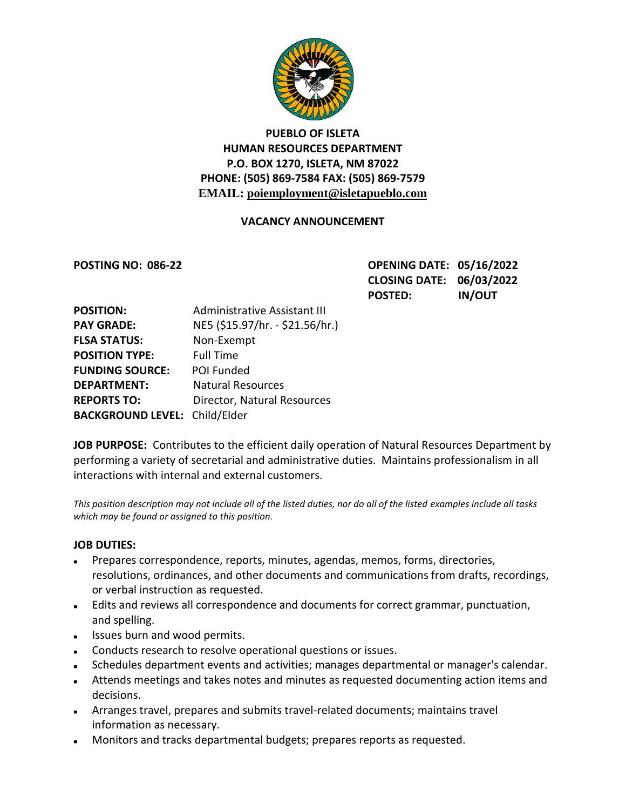

## **PUEBLO OF ISLETA HUMAN RESOURCES DEPARTMENT P.O. BOX 1270, ISLETA, NM 87022 PHONE: (505) 869-7584 FAX: (505) 869-7579 EMAIL: poiemployment@isletapueblo.com**

### **VACANCY ANNOUNCEMENT**

**POSTING NO: 086-22 OPENING DATE: 05/16/2022 CLOSING DATE: 06/03/2022 POSTED: IN/OUT**

| <b>POSITION:</b>                     | <b>Administrative Assistant III</b> |
|--------------------------------------|-------------------------------------|
| <b>PAY GRADE:</b>                    | NE5 (\$15.97/hr. - \$21.56/hr.)     |
| <b>FLSA STATUS:</b>                  | Non-Exempt                          |
| <b>POSITION TYPE:</b>                | <b>Full Time</b>                    |
| <b>FUNDING SOURCE:</b>               | POI Funded                          |
| <b>DEPARTMENT:</b>                   | <b>Natural Resources</b>            |
| <b>REPORTS TO:</b>                   | Director, Natural Resources         |
| <b>BACKGROUND LEVEL: Child/Elder</b> |                                     |

JOB PURPOSE: Contributes to the efficient daily operation of Natural Resources Department by performing a variety of secretarial and administrative duties. Maintains professionalism in all interactions with internal and external customers.

*This position description may not include all of the listed duties, nor do all of the listed examples include all tasks which may be found or assigned to this position.*

### **JOB DUTIES:**

- Prepares correspondence, reports, minutes, agendas, memos, forms, directories, resolutions, ordinances, and other documents and communications from drafts, recordings, or verbal instruction as requested.
- Edits and reviews all correspondence and documents for correct grammar, punctuation, and spelling.
- **ISSUES burn and wood permits.**
- **Conducts research to resolve operational questions or issues.**
- Schedules department events and activities; manages departmental or manager's calendar.
- Attends meetings and takes notes and minutes as requested documenting action items and decisions.
- Arranges travel, prepares and submits travel-related documents; maintains travel information as necessary.
- Monitors and tracks departmental budgets; prepares reports as requested.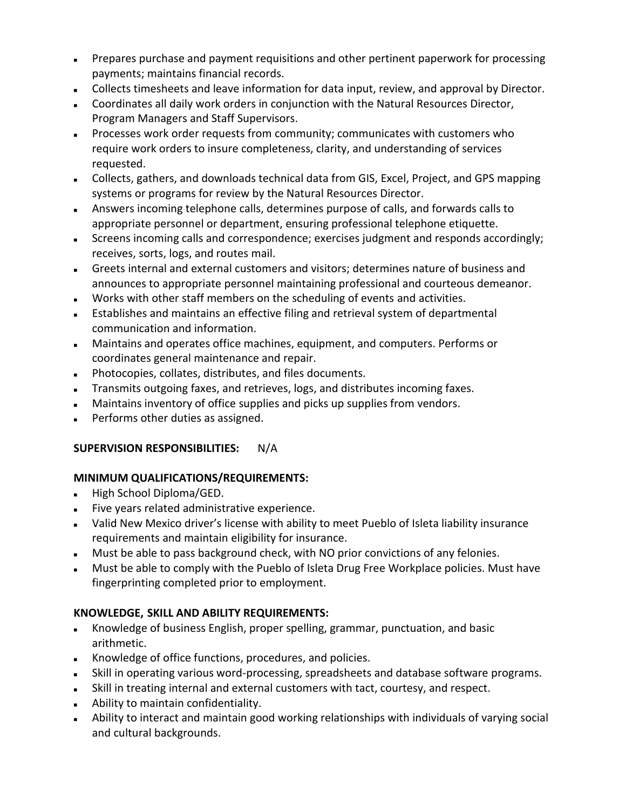- **Prepares purchase and payment requisitions and other pertinent paperwork for processing** payments; maintains financial records.
- Collects timesheets and leave information for data input, review, and approval by Director.
- Coordinates all daily work orders in conjunction with the Natural Resources Director, Program Managers and Staff Supervisors.
- Processes work order requests from community; communicates with customers who require work orders to insure completeness, clarity, and understanding of services requested.
- Collects, gathers, and downloads technical data from GIS, Excel, Project, and GPS mapping systems or programs for review by the Natural Resources Director.
- Answers incoming telephone calls, determines purpose of calls, and forwards calls to appropriate personnel or department, ensuring professional telephone etiquette.
- Screens incoming calls and correspondence; exercises judgment and responds accordingly; receives, sorts, logs, and routes mail.
- Greets internal and external customers and visitors; determines nature of business and announces to appropriate personnel maintaining professional and courteous demeanor.
- Works with other staff members on the scheduling of events and activities.
- Establishes and maintains an effective filing and retrieval system of departmental communication and information.
- Maintains and operates office machines, equipment, and computers. Performs or coordinates general maintenance and repair.
- Photocopies, collates, distributes, and files documents.
- Transmits outgoing faxes, and retrieves, logs, and distributes incoming faxes.
- **Maintains inventory of office supplies and picks up supplies from vendors.**
- Performs other duties as assigned.

## **SUPERVISION RESPONSIBILITIES:** N/A

# **MINIMUM QUALIFICATIONS/REQUIREMENTS:**

- High School Diploma/GED.
- Five years related administrative experience.
- Valid New Mexico driver's license with ability to meet Pueblo of Isleta liability insurance requirements and maintain eligibility for insurance.
- Must be able to pass background check, with NO prior convictions of any felonies.
- Must be able to comply with the Pueblo of Isleta Drug Free Workplace policies. Must have fingerprinting completed prior to employment.

# **KNOWLEDGE, SKILL AND ABILITY REQUIREMENTS:**

- Knowledge of business English, proper spelling, grammar, punctuation, and basic arithmetic.
- Knowledge of office functions, procedures, and policies.
- Skill in operating various word-processing, spreadsheets and database software programs.
- Skill in treating internal and external customers with tact, courtesy, and respect.
- **Ability to maintain confidentiality.**
- Ability to interact and maintain good working relationships with individuals of varying social and cultural backgrounds.